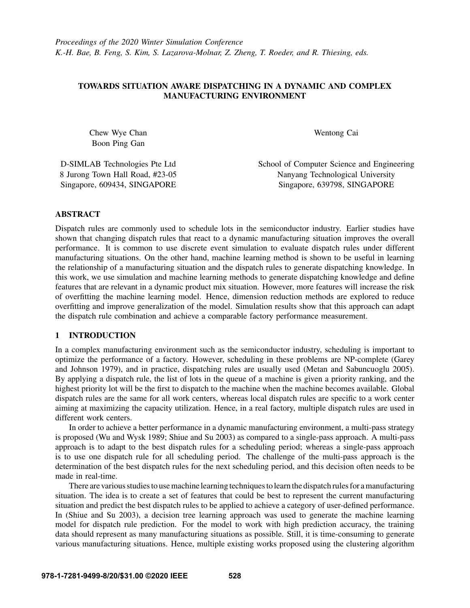# TOWARDS SITUATION AWARE DISPATCHING IN A DYNAMIC AND COMPLEX MANUFACTURING ENVIRONMENT

Chew Wye Chan Wentong Cai Boon Ping Gan

D-SIMLAB Technologies Pte Ltd School of Computer Science and Engineering 8 Jurong Town Hall Road, #23-05 Nanyang Technological University Singapore, 609434, SINGAPORE Singapore, 639798, SINGAPORE

# ABSTRACT

Dispatch rules are commonly used to schedule lots in the semiconductor industry. Earlier studies have shown that changing dispatch rules that react to a dynamic manufacturing situation improves the overall performance. It is common to use discrete event simulation to evaluate dispatch rules under different manufacturing situations. On the other hand, machine learning method is shown to be useful in learning the relationship of a manufacturing situation and the dispatch rules to generate dispatching knowledge. In this work, we use simulation and machine learning methods to generate dispatching knowledge and define features that are relevant in a dynamic product mix situation. However, more features will increase the risk of overfitting the machine learning model. Hence, dimension reduction methods are explored to reduce overfitting and improve generalization of the model. Simulation results show that this approach can adapt the dispatch rule combination and achieve a comparable factory performance measurement.

# 1 INTRODUCTION

In a complex manufacturing environment such as the semiconductor industry, scheduling is important to optimize the performance of a factory. However, scheduling in these problems are NP-complete [\(Garey](#page-10-0) [and Johnson 1979\)](#page-10-0), and in practice, dispatching rules are usually used [\(Metan and Sabuncuoglu 2005\)](#page-10-1). By applying a dispatch rule, the list of lots in the queue of a machine is given a priority ranking, and the highest priority lot will be the first to dispatch to the machine when the machine becomes available. Global dispatch rules are the same for all work centers, whereas local dispatch rules are specific to a work center aiming at maximizing the capacity utilization. Hence, in a real factory, multiple dispatch rules are used in different work centers.

In order to achieve a better performance in a dynamic manufacturing environment, a multi-pass strategy is proposed [\(Wu and Wysk 1989;](#page-11-0) [Shiue and Su 2003\)](#page-11-1) as compared to a single-pass approach. A multi-pass approach is to adapt to the best dispatch rules for a scheduling period; whereas a single-pass approach is to use one dispatch rule for all scheduling period. The challenge of the multi-pass approach is the determination of the best dispatch rules for the next scheduling period, and this decision often needs to be made in real-time.

There are various studies to use machine learning techniques to learn the dispatch rules for a manufacturing situation. The idea is to create a set of features that could be best to represent the current manufacturing situation and predict the best dispatch rules to be applied to achieve a category of user-defined performance. In [\(Shiue and Su 2003\)](#page-11-1), a decision tree learning approach was used to generate the machine learning model for dispatch rule prediction. For the model to work with high prediction accuracy, the training data should represent as many manufacturing situations as possible. Still, it is time-consuming to generate various manufacturing situations. Hence, multiple existing works proposed using the clustering algorithm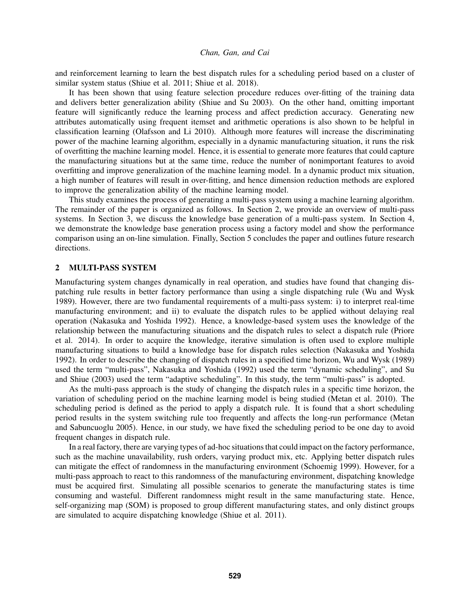and reinforcement learning to learn the best dispatch rules for a scheduling period based on a cluster of similar system status [\(Shiue et al. 2011;](#page-11-2) [Shiue et al. 2018\)](#page-11-3).

It has been shown that using feature selection procedure reduces over-fitting of the training data and delivers better generalization ability [\(Shiue and Su 2003\)](#page-11-1). On the other hand, omitting important feature will significantly reduce the learning process and affect prediction accuracy. Generating new attributes automatically using frequent itemset and arithmetic operations is also shown to be helpful in classification learning [\(Olafsson and Li 2010\)](#page-11-4). Although more features will increase the discriminating power of the machine learning algorithm, especially in a dynamic manufacturing situation, it runs the risk of overfitting the machine learning model. Hence, it is essential to generate more features that could capture the manufacturing situations but at the same time, reduce the number of nonimportant features to avoid overfitting and improve generalization of the machine learning model. In a dynamic product mix situation, a high number of features will result in over-fitting, and hence dimension reduction methods are explored to improve the generalization ability of the machine learning model.

This study examines the process of generating a multi-pass system using a machine learning algorithm. The remainder of the paper is organized as follows. In Section [2,](#page-1-0) we provide an overview of multi-pass systems. In Section [3,](#page-2-0) we discuss the knowledge base generation of a multi-pass system. In Section [4,](#page-6-0) we demonstrate the knowledge base generation process using a factory model and show the performance comparison using an on-line simulation. Finally, Section 5 concludes the paper and outlines future research directions.

#### <span id="page-1-0"></span>2 MULTI-PASS SYSTEM

Manufacturing system changes dynamically in real operation, and studies have found that changing dispatching rule results in better factory performance than using a single dispatching rule [\(Wu and Wysk](#page-11-0) [1989\)](#page-11-0). However, there are two fundamental requirements of a multi-pass system: i) to interpret real-time manufacturing environment; and ii) to evaluate the dispatch rules to be applied without delaying real operation [\(Nakasuka and Yoshida 1992\)](#page-10-2). Hence, a knowledge-based system uses the knowledge of the relationship between the manufacturing situations and the dispatch rules to select a dispatch rule [\(Priore](#page-11-5) [et al. 2014\)](#page-11-5). In order to acquire the knowledge, iterative simulation is often used to explore multiple manufacturing situations to build a knowledge base for dispatch rules selection [\(Nakasuka and Yoshida](#page-10-2) [1992\)](#page-10-2). In order to describe the changing of dispatch rules in a specified time horizon, [Wu and Wysk \(1989\)](#page-11-0) used the term "multi-pass", [Nakasuka and Yoshida \(1992\)](#page-10-2) used the term "dynamic scheduling", and [Su](#page-11-6) [and Shiue \(2003\)](#page-11-6) used the term "adaptive scheduling". In this study, the term "multi-pass" is adopted.

As the multi-pass approach is the study of changing the dispatch rules in a specific time horizon, the variation of scheduling period on the machine learning model is being studied [\(Metan et al. 2010\)](#page-10-3). The scheduling period is defined as the period to apply a dispatch rule. It is found that a short scheduling period results in the system switching rule too frequently and affects the long-run performance [\(Metan](#page-10-1) [and Sabuncuoglu 2005\)](#page-10-1). Hence, in our study, we have fixed the scheduling period to be one day to avoid frequent changes in dispatch rule.

In a real factory, there are varying types of ad-hoc situations that could impact on the factory performance, such as the machine unavailability, rush orders, varying product mix, etc. Applying better dispatch rules can mitigate the effect of randomness in the manufacturing environment [\(Schoemig 1999\)](#page-11-7). However, for a multi-pass approach to react to this randomness of the manufacturing environment, dispatching knowledge must be acquired first. Simulating all possible scenarios to generate the manufacturing states is time consuming and wasteful. Different randomness might result in the same manufacturing state. Hence, self-organizing map (SOM) is proposed to group different manufacturing states, and only distinct groups are simulated to acquire dispatching knowledge [\(Shiue et al. 2011\)](#page-11-2).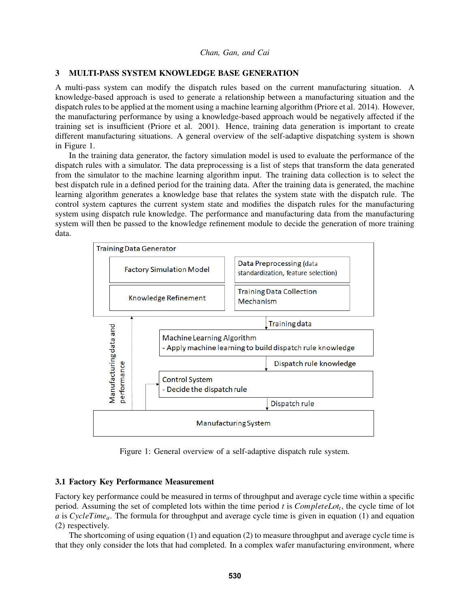### <span id="page-2-0"></span>3 MULTI-PASS SYSTEM KNOWLEDGE BASE GENERATION

A multi-pass system can modify the dispatch rules based on the current manufacturing situation. A knowledge-based approach is used to generate a relationship between a manufacturing situation and the dispatch rules to be applied at the moment using a machine learning algorithm [\(Priore et al. 2014\)](#page-11-5). However, the manufacturing performance by using a knowledge-based approach would be negatively affected if the training set is insufficient [\(Priore et al. 2001\)](#page-11-8). Hence, training data generation is important to create different manufacturing situations. A general overview of the self-adaptive dispatching system is shown in Figure [1.](#page-2-1)

In the training data generator, the factory simulation model is used to evaluate the performance of the dispatch rules with a simulator. The data preprocessing is a list of steps that transform the data generated from the simulator to the machine learning algorithm input. The training data collection is to select the best dispatch rule in a defined period for the training data. After the training data is generated, the machine learning algorithm generates a knowledge base that relates the system state with the dispatch rule. The control system captures the current system state and modifies the dispatch rules for the manufacturing system using dispatch rule knowledge. The performance and manufacturing data from the manufacturing system will then be passed to the knowledge refinement module to decide the generation of more training data.



<span id="page-2-1"></span>Figure 1: General overview of a self-adaptive dispatch rule system.

### 3.1 Factory Key Performance Measurement

Factory key performance could be measured in terms of throughput and average cycle time within a specific period. Assuming the set of completed lots within the time period *t* is *CompleteLot<sup>t</sup>* , the cycle time of lot *a* is *CycleTimea*. The formula for throughput and average cycle time is given in equation [\(1\)](#page-3-0) and equation [\(2\)](#page-3-1) respectively.

The shortcoming of using equation [\(1\)](#page-3-0) and equation [\(2\)](#page-3-1) to measure throughput and average cycle time is that they only consider the lots that had completed. In a complex wafer manufacturing environment, where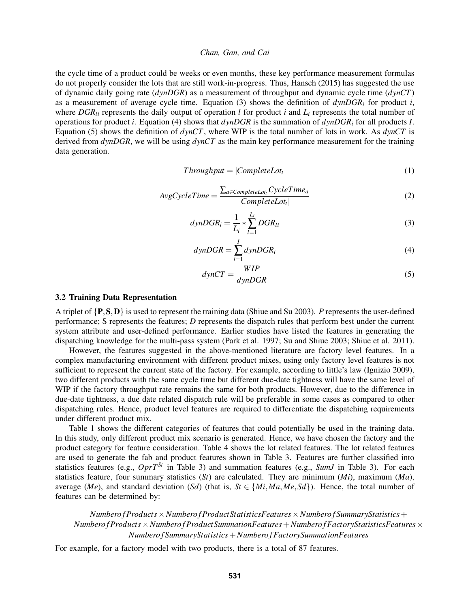the cycle time of a product could be weeks or even months, these key performance measurement formulas do not properly consider the lots that are still work-in-progress. Thus, [Hansch \(2015\)](#page-10-4) has suggested the use of dynamic daily going rate (*dynDGR*) as a measurement of throughput and dynamic cycle time (*dynCT*) as a measurement of average cycle time. Equation [\(3\)](#page-3-2) shows the definition of  $\frac{dynDGR}{h}$  for product *i*, where *DGRli* represents the daily output of operation *l* for product *i* and *L<sup>i</sup>* represents the total number of operations for product *i*. Equation [\(4\)](#page-3-3) shows that *dynDGR* is the summation of *dynDGR<sup>i</sup>* for all products *I*. Equation [\(5\)](#page-3-4) shows the definition of *dynCT*, where WIP is the total number of lots in work. As *dynCT* is derived from *dynDGR*, we will be using *dynCT* as the main key performance measurement for the training data generation.

<span id="page-3-0"></span>
$$
Throughput = |Complete Lott| \t\t(1)
$$

<span id="page-3-1"></span>
$$
AvgCycleTime = \frac{\sum_{a \in CompleteLot_t} CycleTime_a}{|CompleteLot_t|} \tag{2}
$$

<span id="page-3-2"></span>
$$
dynDGR_i = \frac{1}{L_i} * \sum_{l=1}^{L_i} DGR_{li}
$$
\n
$$
(3)
$$

<span id="page-3-3"></span>
$$
dynDGR = \sum_{i=1}^{I} dynDGR_i
$$
\n(4)

<span id="page-3-4"></span>
$$
dynCT = \frac{WIP}{dynDGR} \tag{5}
$$

#### 3.2 Training Data Representation

A triplet of {P,S,D} is used to represent the training data [\(Shiue and Su 2003\)](#page-11-1). *P* represents the user-defined performance; S represents the features; *D* represents the dispatch rules that perform best under the current system attribute and user-defined performance. Earlier studies have listed the features in generating the dispatching knowledge for the multi-pass system [\(Park et al. 1997;](#page-11-9) [Su and Shiue 2003;](#page-11-6) [Shiue et al. 2011\)](#page-11-2).

However, the features suggested in the above-mentioned literature are factory level features. In a complex manufacturing environment with different product mixes, using only factory level features is not sufficient to represent the current state of the factory. For example, according to little's law [\(Ignizio 2009\)](#page-10-5), two different products with the same cycle time but different due-date tightness will have the same level of WIP if the factory throughput rate remains the same for both products. However, due to the difference in due-date tightness, a due date related dispatch rule will be preferable in some cases as compared to other dispatching rules. Hence, product level features are required to differentiate the dispatching requirements under different product mix.

Table [1](#page-4-0) shows the different categories of features that could potentially be used in the training data. In this study, only different product mix scenario is generated. Hence, we have chosen the factory and the product category for feature consideration. Table [4](#page-5-0) shows the lot related features. The lot related features are used to generate the fab and product features shown in Table [3.](#page-5-1) Features are further classified into statistics features (e.g., *OprTSt* in Table [3\)](#page-5-1) and summation features (e.g., *SumJ* in Table [3\)](#page-5-1). For each statistics feature, four summary statistics (*St*) are calculated. They are minimum (*Mi*), maximum (*Ma*), average (*Me*), and standard deviation (*Sd*) (that is,  $St \in \{Mi, Ma, Me, Sd\}$ ). Hence, the total number of features can be determined by:

*Numbero f Products*×*Numbero f ProductStatisticsFeatures*×*Numbero f SummaryStatistics*+ *Numbero f Products*×*Numbero f ProductSummationFeatures*+*Numbero f FactoryStatisticsFeatures*× *Numbero f SummaryStatistics*+*Numbero f FactorySummationFeatures*

For example, for a factory model with two products, there is a total of 87 features.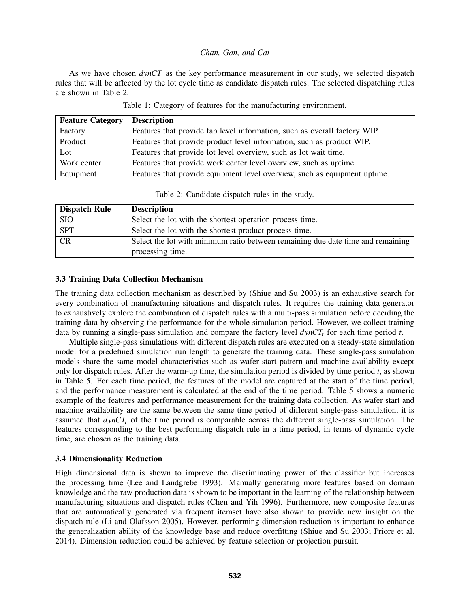As we have chosen *dynCT* as the key performance measurement in our study, we selected dispatch rules that will be affected by the lot cycle time as candidate dispatch rules. The selected dispatching rules are shown in Table [2.](#page-4-1)

| <b>Feature Category</b> | <b>Description</b>                                                        |
|-------------------------|---------------------------------------------------------------------------|
| Factory                 | Features that provide fab level information, such as overall factory WIP. |
| Product                 | Features that provide product level information, such as product WIP.     |
| Lot                     | Features that provide lot level overview, such as lot wait time.          |
| Work center             | Features that provide work center level overview, such as uptime.         |
| Equipment               | Features that provide equipment level overview, such as equipment uptime. |

<span id="page-4-0"></span>Table 1: Category of features for the manufacturing environment.

<span id="page-4-1"></span>

| <b>Dispatch Rule</b> | <b>Description</b>                                                                                  |
|----------------------|-----------------------------------------------------------------------------------------------------|
| <b>SIO</b>           | Select the lot with the shortest operation process time.                                            |
| $\sqrt{SPT}$         | Select the lot with the shortest product process time.                                              |
| CR                   | Select the lot with minimum ratio between remaining due date time and remaining<br>processing time. |

# 3.3 Training Data Collection Mechanism

The training data collection mechanism as described by [\(Shiue and Su 2003\)](#page-11-1) is an exhaustive search for every combination of manufacturing situations and dispatch rules. It requires the training data generator to exhaustively explore the combination of dispatch rules with a multi-pass simulation before deciding the training data by observing the performance for the whole simulation period. However, we collect training data by running a single-pass simulation and compare the factory level *dynCT<sup>t</sup>* for each time period *t*.

Multiple single-pass simulations with different dispatch rules are executed on a steady-state simulation model for a predefined simulation run length to generate the training data. These single-pass simulation models share the same model characteristics such as wafer start pattern and machine availability except only for dispatch rules. After the warm-up time, the simulation period is divided by time period *t*, as shown in Table [5.](#page-6-1) For each time period, the features of the model are captured at the start of the time period, and the performance measurement is calculated at the end of the time period. Table [5](#page-6-1) shows a numeric example of the features and performance measurement for the training data collection. As wafer start and machine availability are the same between the same time period of different single-pass simulation, it is assumed that *dynCT<sup>t</sup>* of the time period is comparable across the different single-pass simulation. The features corresponding to the best performing dispatch rule in a time period, in terms of dynamic cycle time, are chosen as the training data.

# 3.4 Dimensionality Reduction

High dimensional data is shown to improve the discriminating power of the classifier but increases the processing time [\(Lee and Landgrebe 1993\)](#page-10-6). Manually generating more features based on domain knowledge and the raw production data is shown to be important in the learning of the relationship between manufacturing situations and dispatch rules [\(Chen and Yih 1996\)](#page-10-7). Furthermore, new composite features that are automatically generated via frequent itemset have also shown to provide new insight on the dispatch rule [\(Li and Olafsson 2005\)](#page-10-8). However, performing dimension reduction is important to enhance the generalization ability of the knowledge base and reduce overfitting [\(Shiue and Su 2003;](#page-11-1) [Priore et al.](#page-11-5) [2014\)](#page-11-5). Dimension reduction could be achieved by feature selection or projection pursuit.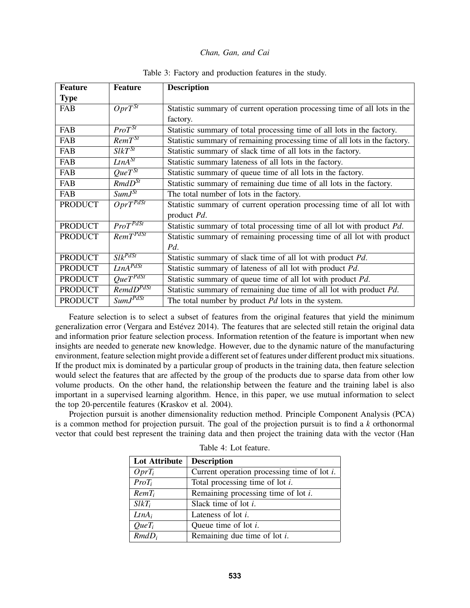| <b>Feature</b> | <b>Feature</b>            | <b>Description</b>                                                         |  |
|----------------|---------------------------|----------------------------------------------------------------------------|--|
| <b>Type</b>    |                           |                                                                            |  |
| FAB            | $Opr\overline{T^{St}}$    | Statistic summary of current operation processing time of all lots in the  |  |
|                |                           | factory.                                                                   |  |
| FAB            | $ProT^{St}$               | Statistic summary of total processing time of all lots in the factory.     |  |
| FAB            | $RemT^{St}$               | Statistic summary of remaining processing time of all lots in the factory. |  |
| FAB            | $SlkT^{St}$               | Statistic summary of slack time of all lots in the factory.                |  |
| FAB            | $LtnA^{St}$               | Statistic summary lateness of all lots in the factory.                     |  |
| FAB            | $QueT^{St}$               | Statistic summary of queue time of all lots in the factory.                |  |
| FAB            | $RmdD^{St}$               | Statistic summary of remaining due time of all lots in the factory.        |  |
| FAB            | $SumJ^{St}$               | The total number of lots in the factory.                                   |  |
| <b>PRODUCT</b> | $OprT^{PdSt}$             | Statistic summary of current operation processing time of all lot with     |  |
|                |                           | product Pd.                                                                |  |
| <b>PRODUCT</b> | ProT <sup>PdSt</sup>      | Statistic summary of total processing time of all lot with product Pd.     |  |
| <b>PRODUCT</b> | RemT <sup>PdSt</sup>      | Statistic summary of remaining processing time of all lot with product     |  |
|                |                           | Pd.                                                                        |  |
| <b>PRODUCT</b> | $S$ l $k$ <sup>PdSt</sup> | Statistic summary of slack time of all lot with product Pd.                |  |
| <b>PRODUCT</b> | LinA <sup>PdSt</sup>      | Statistic summary of lateness of all lot with product Pd.                  |  |
| <b>PRODUCT</b> | $\overline{QueT^{PdSt}}$  | Statistic summary of queue time of all lot with product Pd.                |  |
| <b>PRODUCT</b> | RemdD <sup>PdSt</sup>     | Statistic summary of remaining due time of all lot with product Pd.        |  |
| <b>PRODUCT</b> | SumJ <sup>PdSt</sup>      | The total number by product Pd lots in the system.                         |  |

<span id="page-5-1"></span>Table 3: Factory and production features in the study.

Feature selection is to select a subset of features from the original features that yield the minimum generalization error (Vergara and Estévez 2014). The features that are selected still retain the original data and information prior feature selection process. Information retention of the feature is important when new insights are needed to generate new knowledge. However, due to the dynamic nature of the manufacturing environment, feature selection might provide a different set of features under different product mix situations. If the product mix is dominated by a particular group of products in the training data, then feature selection would select the features that are affected by the group of the products due to sparse data from other low volume products. On the other hand, the relationship between the feature and the training label is also important in a supervised learning algorithm. Hence, in this paper, we use mutual information to select the top 20-percentile features [\(Kraskov et al. 2004\)](#page-10-9).

Projection pursuit is another dimensionality reduction method. Principle Component Analysis (PCA) is a common method for projection pursuit. The goal of the projection pursuit is to find a *k* orthonormal vector that could best represent the training data and then project the training data with the vector [\(Han](#page-10-10)

| Lot Attribute | <b>Description</b>                             |
|---------------|------------------------------------------------|
| $OprT_i$      | Current operation processing time of lot $i$ . |
| $ProT_i$      | Total processing time of lot $i$ .             |
| $RemT_i$      | Remaining processing time of lot $i$ .         |
| $SlkT_i$      | Slack time of lot $i$ .                        |
| $LtnA_i$      | Lateness of lot <i>i</i> .                     |
| $QueT_i$      | Queue time of lot $i$ .                        |
| $RmdD_i$      | Remaining due time of lot $i$ .                |

<span id="page-5-0"></span>Table 4: Lot feature.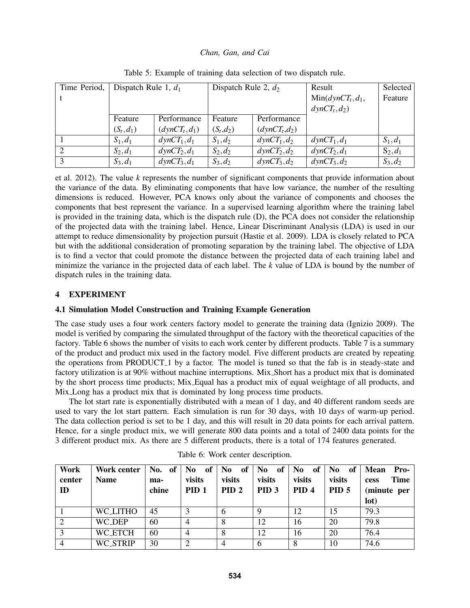| Time Period, | Dispatch Rule 1, $d_1$ |                                        | Dispatch Rule 2, $d_2$ |                 | Result              | Selected   |
|--------------|------------------------|----------------------------------------|------------------------|-----------------|---------------------|------------|
|              |                        |                                        |                        |                 | $Min(dynCT_t, d_1,$ | Feature    |
|              |                        |                                        |                        |                 | $dynCT_t, d_2)$     |            |
|              | Feature                | Performance                            | Feature                | Performance     |                     |            |
|              | $(S_t, d_1)$           | (dynCT <sub>t</sub> , d <sub>1</sub> ) | $(S_t, d_2)$           | $(dynCT_t,d_2)$ |                     |            |
|              | $S_1, d_1$             | $dynCT_1,d_1$                          | $S_1, d_2$             | $dynCT_1, d_2$  | $dynCT_1,d_1$       | $S_1, d_1$ |
|              | $S_2,d_1$              | $dynCT_2,d_1$                          | $S_2, d_2$             | $dynCT_2,d_2$   | $dynCT_2, d_1$      | $S_2, d_1$ |
|              | $S_3, d_1$             | $dynCT_3, d_1$                         | $S_3, d_2$             | $dynCT_3,d_2$   | $dynCT_3, d_2$      | $S_3, d_2$ |

<span id="page-6-1"></span>Table 5: Example of training data selection of two dispatch rule.

[et al. 2012\)](#page-10-10). The value *k* represents the number of significant components that provide information about the variance of the data. By eliminating components that have low variance, the number of the resulting dimensions is reduced. However, PCA knows only about the variance of components and chooses the components that best represent the variance. In a supervised learning algorithm where the training label is provided in the training data, which is the dispatch rule (D), the PCA does not consider the relationship of the projected data with the training label. Hence, Linear Discriminant Analysis (LDA) is used in our attempt to reduce dimensionality by projection pursuit [\(Hastie et al. 2009\)](#page-10-11). LDA is closely related to PCA but with the additional consideration of promoting separation by the training label. The objective of LDA is to find a vector that could promote the distance between the projected data of each training label and minimize the variance in the projected data of each label. The *k* value of LDA is bound by the number of dispatch rules in the training data.

# <span id="page-6-0"></span>4 EXPERIMENT

# 4.1 Simulation Model Construction and Training Example Generation

The case study uses a four work centers factory model to generate the training data [\(Ignizio 2009\)](#page-10-5). The model is verified by comparing the simulated throughput of the factory with the theoretical capacities of the factory. Table [6](#page-6-2) shows the number of visits to each work center by different products. Table [7](#page-7-0) is a summary of the product and product mix used in the factory model. Five different products are created by repeating the operations from PRODUCT 1 by a factor. The model is tuned so that the fab is in steady-state and factory utilization is at 90% without machine interruptions. Mix Short has a product mix that is dominated by the short process time products; Mix Equal has a product mix of equal weightage of all products, and Mix Long has a product mix that is dominated by long process time products.

The lot start rate is exponentially distributed with a mean of 1 day, and 40 different random seeds are used to vary the lot start pattern. Each simulation is run for 30 days, with 10 days of warm-up period. The data collection period is set to be 1 day, and this will result in 20 data points for each arrival pattern. Hence, for a single product mix, we will generate 800 data points and a total of 2400 data points for the 3 different product mix. As there are 5 different products, there is a total of 174 features generated.

| <b>Work</b>    | Work center     | No. of | of<br>N <sub>0</sub> | No<br>of         | No<br>of         | N <sub>0</sub><br>of | of<br>No.        | <b>Mean</b><br>Pro- |
|----------------|-----------------|--------|----------------------|------------------|------------------|----------------------|------------------|---------------------|
| center         | <b>Name</b>     | ma-    | visits               | visits           | visits           | visits               | visits           | Time<br>cess        |
| $\mathbf{D}$   |                 | chine  | PID <sub>1</sub>     | PID <sub>2</sub> | PID <sub>3</sub> | PID <sub>4</sub>     | PID <sub>5</sub> | (minute per         |
|                |                 |        |                      |                  |                  |                      |                  | lot)                |
|                | <b>WC_LITHO</b> | 45     |                      | $\mathfrak b$    | 9                | 12                   | 15               | 79.3                |
| 2              | <b>WC_DEP</b>   | 60     | $\overline{4}$       | 8                | 12               | 16                   | 20               | 79.8                |
| 3              | <b>WC_ETCH</b>  | 60     | $\overline{4}$       | 8                | 12               | 16                   | 20               | 76.4                |
| $\overline{4}$ | <b>WC_STRIP</b> | 30     | $\overline{2}$       | $\overline{4}$   | 6                | 8                    | 10               | 74.6                |

<span id="page-6-2"></span>

|  |  |  | Table 6: Work center description. |
|--|--|--|-----------------------------------|
|--|--|--|-----------------------------------|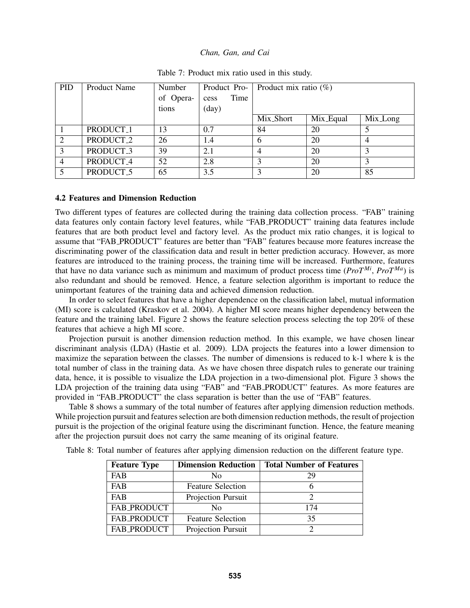| PID | Product Name          | Number    |                | Product Pro-   Product mix ratio $(\%)$ |           |                |
|-----|-----------------------|-----------|----------------|-----------------------------------------|-----------|----------------|
|     |                       | of Opera- | Time<br>cess   |                                         |           |                |
|     |                       | tions     | $\text{(day)}$ |                                         |           |                |
|     |                       |           |                | Mix_Short                               | Mix_Equal | Mix_Long       |
|     | PRODUCT <sub>-1</sub> | 13        | 0.7            | 84                                      | 20        |                |
|     | PRODUCT <sub>2</sub>  | 26        | 1.4            | 6                                       | 20        | $\overline{4}$ |
|     | PRODUCT <sub>3</sub>  | 39        | 2.1            | 4                                       | 20        |                |
|     | PRODUCT <sub>4</sub>  | 52        | 2.8            | 3                                       | 20        |                |
|     | PRODUCT <sub>-5</sub> | 65        | 3.5            | 3                                       | 20        | 85             |

<span id="page-7-0"></span>Table 7: Product mix ratio used in this study.

### 4.2 Features and Dimension Reduction

Two different types of features are collected during the training data collection process. "FAB" training data features only contain factory level features, while "FAB PRODUCT" training data features include features that are both product level and factory level. As the product mix ratio changes, it is logical to assume that "FAB PRODUCT" features are better than "FAB" features because more features increase the discriminating power of the classification data and result in better prediction accuracy. However, as more features are introduced to the training process, the training time will be increased. Furthermore, features that have no data variance such as minimum and maximum of product process time  $(ProT<sup>Mi</sup>, ProT<sup>Ma</sup>)$  is also redundant and should be removed. Hence, a feature selection algorithm is important to reduce the unimportant features of the training data and achieved dimension reduction.

In order to select features that have a higher dependence on the classification label, mutual information (MI) score is calculated [\(Kraskov et al. 2004\)](#page-10-9). A higher MI score means higher dependency between the feature and the training label. Figure [2](#page-8-0) shows the feature selection process selecting the top 20% of these features that achieve a high MI score.

Projection pursuit is another dimension reduction method. In this example, we have chosen linear discriminant analysis (LDA) [\(Hastie et al. 2009\)](#page-10-11). LDA projects the features into a lower dimension to maximize the separation between the classes. The number of dimensions is reduced to k-1 where k is the total number of class in the training data. As we have chosen three dispatch rules to generate our training data, hence, it is possible to visualize the LDA projection in a two-dimensional plot. Figure [3](#page-8-1) shows the LDA projection of the training data using "FAB" and "FAB PRODUCT" features. As more features are provided in "FAB PRODUCT" the class separation is better than the use of "FAB" features.

Table [8](#page-7-1) shows a summary of the total number of features after applying dimension reduction methods. While projection pursuit and features selection are both dimension reduction methods, the result of projection pursuit is the projection of the original feature using the discriminant function. Hence, the feature meaning after the projection pursuit does not carry the same meaning of its original feature.

<span id="page-7-1"></span>

| <b>Feature Type</b> | <b>Dimension Reduction</b> | <b>Total Number of Features</b> |
|---------------------|----------------------------|---------------------------------|
| <b>FAB</b>          | N <sub>0</sub>             | 29                              |
| <b>FAB</b>          | <b>Feature Selection</b>   |                                 |
| <b>FAB</b>          | Projection Pursuit         |                                 |
| FAB_PRODUCT         | No                         | 174                             |
| FAB_PRODUCT         | <b>Feature Selection</b>   | 35                              |
| FAB_PRODUCT         | Projection Pursuit         |                                 |

Table 8: Total number of features after applying dimension reduction on the different feature type.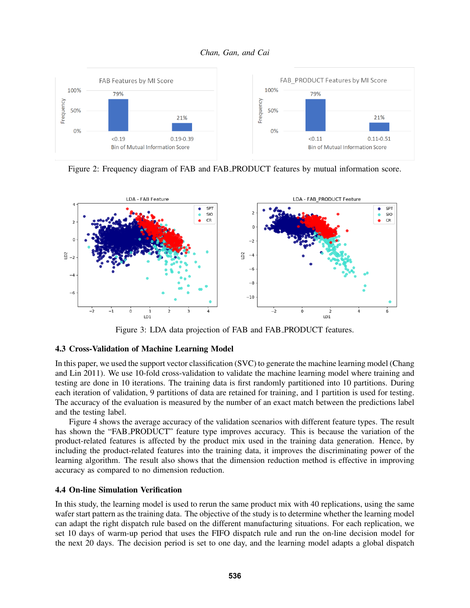

<span id="page-8-0"></span>Figure 2: Frequency diagram of FAB and FAB PRODUCT features by mutual information score.



<span id="page-8-1"></span>Figure 3: LDA data projection of FAB and FAB PRODUCT features.

### 4.3 Cross-Validation of Machine Learning Model

In this paper, we used the support vector classification (SVC) to generate the machine learning model [\(Chang](#page-10-12) [and Lin 2011\)](#page-10-12). We use 10-fold cross-validation to validate the machine learning model where training and testing are done in 10 iterations. The training data is first randomly partitioned into 10 partitions. During each iteration of validation, 9 partitions of data are retained for training, and 1 partition is used for testing. The accuracy of the evaluation is measured by the number of an exact match between the predictions label and the testing label.

Figure [4](#page-9-0) shows the average accuracy of the validation scenarios with different feature types. The result has shown the "FAB PRODUCT" feature type improves accuracy. This is because the variation of the product-related features is affected by the product mix used in the training data generation. Hence, by including the product-related features into the training data, it improves the discriminating power of the learning algorithm. The result also shows that the dimension reduction method is effective in improving accuracy as compared to no dimension reduction.

# 4.4 On-line Simulation Verification

In this study, the learning model is used to rerun the same product mix with 40 replications, using the same wafer start pattern as the training data. The objective of the study is to determine whether the learning model can adapt the right dispatch rule based on the different manufacturing situations. For each replication, we set 10 days of warm-up period that uses the FIFO dispatch rule and run the on-line decision model for the next 20 days. The decision period is set to one day, and the learning model adapts a global dispatch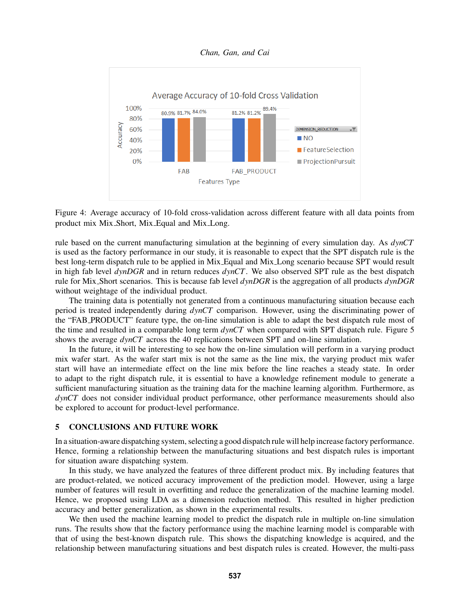*Chan, Gan, and Cai*



<span id="page-9-0"></span>Figure 4: Average accuracy of 10-fold cross-validation across different feature with all data points from product mix Mix Short, Mix Equal and Mix Long.

rule based on the current manufacturing simulation at the beginning of every simulation day. As *dynCT* is used as the factory performance in our study, it is reasonable to expect that the SPT dispatch rule is the best long-term dispatch rule to be applied in Mix Equal and Mix Long scenario because SPT would result in high fab level *dynDGR* and in return reduces *dynCT*. We also observed SPT rule as the best dispatch rule for Mix Short scenarios. This is because fab level *dynDGR* is the aggregation of all products *dynDGR* without weightage of the individual product.

The training data is potentially not generated from a continuous manufacturing situation because each period is treated independently during *dynCT* comparison. However, using the discriminating power of the "FAB PRODUCT" feature type, the on-line simulation is able to adapt the best dispatch rule most of the time and resulted in a comparable long term *dynCT* when compared with SPT dispatch rule. Figure [5](#page-10-13) shows the average  $\frac{dy}{RT}$  across the 40 replications between SPT and on-line simulation.

In the future, it will be interesting to see how the on-line simulation will perform in a varying product mix wafer start. As the wafer start mix is not the same as the line mix, the varying product mix wafer start will have an intermediate effect on the line mix before the line reaches a steady state. In order to adapt to the right dispatch rule, it is essential to have a knowledge refinement module to generate a sufficient manufacturing situation as the training data for the machine learning algorithm. Furthermore, as *dynCT* does not consider individual product performance, other performance measurements should also be explored to account for product-level performance.

# 5 CONCLUSIONS AND FUTURE WORK

In a situation-aware dispatching system, selecting a good dispatch rule will help increase factory performance. Hence, forming a relationship between the manufacturing situations and best dispatch rules is important for situation aware dispatching system.

In this study, we have analyzed the features of three different product mix. By including features that are product-related, we noticed accuracy improvement of the prediction model. However, using a large number of features will result in overfitting and reduce the generalization of the machine learning model. Hence, we proposed using LDA as a dimension reduction method. This resulted in higher prediction accuracy and better generalization, as shown in the experimental results.

We then used the machine learning model to predict the dispatch rule in multiple on-line simulation runs. The results show that the factory performance using the machine learning model is comparable with that of using the best-known dispatch rule. This shows the dispatching knowledge is acquired, and the relationship between manufacturing situations and best dispatch rules is created. However, the multi-pass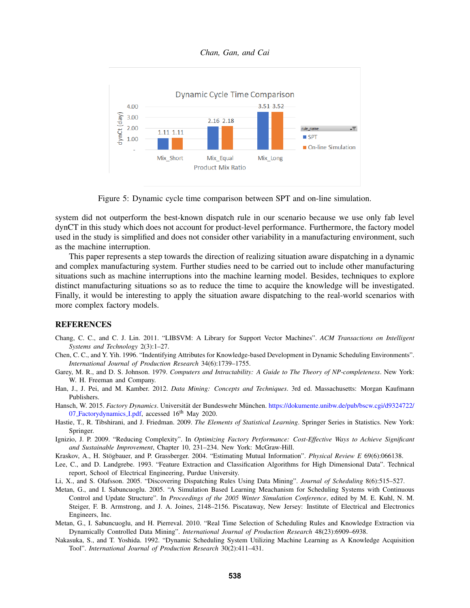*Chan, Gan, and Cai*



<span id="page-10-13"></span>Figure 5: Dynamic cycle time comparison between SPT and on-line simulation.

system did not outperform the best-known dispatch rule in our scenario because we use only fab level dynCT in this study which does not account for product-level performance. Furthermore, the factory model used in the study is simplified and does not consider other variability in a manufacturing environment, such as the machine interruption.

This paper represents a step towards the direction of realizing situation aware dispatching in a dynamic and complex manufacturing system. Further studies need to be carried out to include other manufacturing situations such as machine interruptions into the machine learning model. Besides, techniques to explore distinct manufacturing situations so as to reduce the time to acquire the knowledge will be investigated. Finally, it would be interesting to apply the situation aware dispatching to the real-world scenarios with more complex factory models.

#### REFERENCES

- <span id="page-10-12"></span>Chang, C. C., and C. J. Lin. 2011. "LIBSVM: A Library for Support Vector Machines". *ACM Transactions on Intelligent Systems and Technology* 2(3):1–27.
- <span id="page-10-7"></span>Chen, C. C., and Y. Yih. 1996. "Indentifying Attributes for Knowledge-based Development in Dynamic Scheduling Environments". *International Journal of Production Research* 34(6):1739–1755.
- <span id="page-10-0"></span>Garey, M. R., and D. S. Johnson. 1979. *Computers and Intractability: A Guide to The Theory of NP-completeness*. New York: W. H. Freeman and Company.
- <span id="page-10-10"></span>Han, J., J. Pei, and M. Kamber. 2012. *Data Mining: Concepts and Techniques*. 3rd ed. Massachusetts: Morgan Kaufmann Publishers.
- <span id="page-10-4"></span>Hansch, W. 2015. *Factory Dynamics*. Universität der Bundeswehr München. [https://dokumente.unibw.de/pub/bscw.cgi/d9324722/](https://dokumente.unibw.de/pub/bscw.cgi/d9324722/07_Factorydynamics_I.pdf) 07 [Factorydynamics](https://dokumente.unibw.de/pub/bscw.cgi/d9324722/07_Factorydynamics_I.pdf) I.pdf, accessed 16<sup>th</sup> May 2020.
- <span id="page-10-11"></span>Hastie, T., R. Tibshirani, and J. Friedman. 2009. *The Elements of Statistical Learning*. Springer Series in Statistics. New York: Springer.
- <span id="page-10-5"></span>Ignizio, J. P. 2009. "Reducing Complexity". In *Optimizing Factory Performance: Cost-Effective Ways to Achieve Significant and Sustainable Improvement*, Chapter 10, 231–234. New York: McGraw-Hill.
- <span id="page-10-9"></span>Kraskov, A., H. Stögbauer, and P. Grassberger. 2004. "Estimating Mutual Information". *Physical Review E* 69(6):066138.
- <span id="page-10-6"></span>Lee, C., and D. Landgrebe. 1993. "Feature Extraction and Classification Algorithms for High Dimensional Data". Technical report, School of Electrical Engineering, Purdue University.
- <span id="page-10-8"></span>Li, X., and S. Olafsson. 2005. "Discovering Dispatching Rules Using Data Mining". *Journal of Scheduling* 8(6):515–527.
- <span id="page-10-1"></span>Metan, G., and I. Sabuncuoglu. 2005. "A Simulation Based Learning Meachanism for Scheduling Systems with Continuous Control and Update Structure". In *Proceedings of the 2005 Winter Simulation Conference*, edited by M. E. Kuhl, N. M. Steiger, F. B. Armstrong, and J. A. Joines, 2148–2156. Piscataway, New Jersey: Institute of Electrical and Electronics Engineers, Inc.
- <span id="page-10-3"></span>Metan, G., I. Sabuncuoglu, and H. Pierreval. 2010. "Real Time Selection of Scheduling Rules and Knowledge Extraction via Dynamically Controlled Data Mining". *International Journal of Production Research* 48(23):6909–6938.
- <span id="page-10-2"></span>Nakasuka, S., and T. Yoshida. 1992. "Dynamic Scheduling System Utilizing Machine Learning as A Knowledge Acquisition Tool". *International Journal of Production Research* 30(2):411–431.